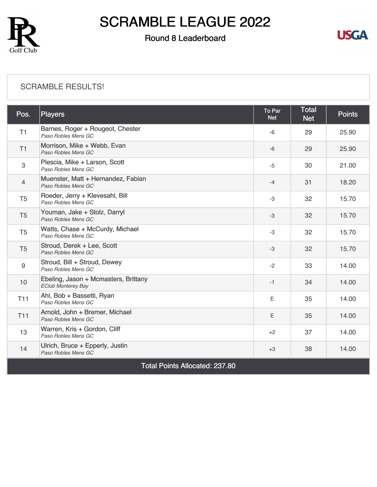

### Round 8 Leaderboard



#### [SCRAMBLE RESULTS!](https://cdn2.golfgenius.com/v2tournaments/8407981498027786158?called_from=&round_index=8)

| Pos.                                  | Players                                                           | To Par<br><b>Net</b> | <b>Total</b><br><b>Net</b> | <b>Points</b> |  |  |
|---------------------------------------|-------------------------------------------------------------------|----------------------|----------------------------|---------------|--|--|
| T1                                    | Barnes, Roger + Rougeot, Chester<br>Paso Robles Mens GC           | $-6$                 | 29                         | 25.90         |  |  |
| T1                                    | Morrison, Mike + Webb, Evan<br>Paso Robles Mens GC                | $-6$                 | 29                         | 25.90         |  |  |
| 3                                     | Plescia, Mike + Larson, Scott<br>Paso Robles Mens GC              | $-5$                 | 30                         | 21.00         |  |  |
| $\overline{4}$                        | Muenster, Matt + Hernandez, Fabian<br>Paso Robles Mens GC         | $-4$                 | 31                         | 18.20         |  |  |
| T <sub>5</sub>                        | Roeder, Jerry + Klevesahl, Bill<br>Paso Robles Mens GC            | $-3$                 | 32                         | 15.70         |  |  |
| T <sub>5</sub>                        | Youman, Jake + Stolz, Darryl<br>Paso Robles Mens GC               | -3                   | 32                         | 15.70         |  |  |
| T <sub>5</sub>                        | Watts, Chase + McCurdy, Michael<br>Paso Robles Mens GC            | $-3$                 | 32                         | 15.70         |  |  |
| T <sub>5</sub>                        | Stroud, Derek + Lee, Scott<br>Paso Robles Mens GC                 | -3                   | 32                         | 15.70         |  |  |
| 9                                     | Stroud, Bill + Stroud, Dewey<br>Paso Robles Mens GC               | $-2$                 | 33                         | 14.00         |  |  |
| 10                                    | Ebeling, Jason + Mcmasters, Brittany<br><b>EClub Monterey Bay</b> | $-1$                 | 34                         | 14.00         |  |  |
| <b>T11</b>                            | Ahl, Bob + Bassetti, Ryan<br>Paso Robles Mens GC                  | E                    | 35                         | 14.00         |  |  |
| T11                                   | Arnold, John + Bremer, Michael<br>Paso Robles Mens GC             | Ε                    | 35                         | 14.00         |  |  |
| 13                                    | Warren, Kris + Gordon, Cliff<br>Paso Robles Mens GC               | $+2$                 | 37                         | 14.00         |  |  |
| 14                                    | Ulrich, Bruce + Epperly, Justin<br>Paso Robles Mens GC            | $+3$                 | 38                         | 14.00         |  |  |
| <b>Total Points Allocated: 237.80</b> |                                                                   |                      |                            |               |  |  |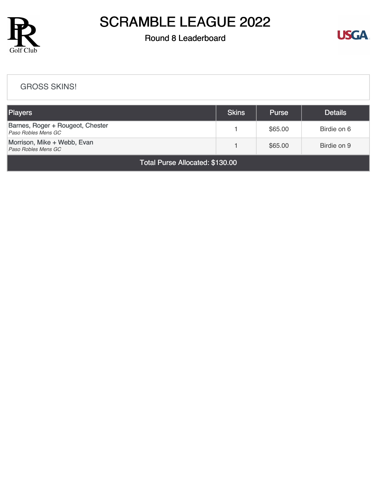

### Round 8 Leaderboard



#### [GROSS SKINS!](https://cdn2.golfgenius.com/v2tournaments/8407982326956474287?called_from=&round_index=8)

| <b>Players</b>                                          | <b>Skins</b> | <b>Purse</b> | <b>Details</b> |  |  |  |
|---------------------------------------------------------|--------------|--------------|----------------|--|--|--|
| Barnes, Roger + Rougeot, Chester<br>Paso Robles Mens GC |              | \$65.00      | Birdie on 6    |  |  |  |
| Morrison, Mike + Webb, Evan<br>Paso Robles Mens GC      |              | \$65.00      | Birdie on 9    |  |  |  |
| Total Purse Allocated: \$130.00                         |              |              |                |  |  |  |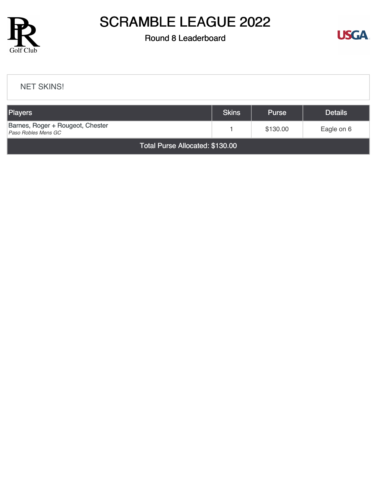

### Round 8 Leaderboard



#### [NET SKINS!](https://cdn2.golfgenius.com/v2tournaments/8407983289733791664?called_from=&round_index=8)

| <b>Players</b>                                          | <b>Skins</b> | <b>Purse</b> | <b>Details</b> |  |  |  |
|---------------------------------------------------------|--------------|--------------|----------------|--|--|--|
| Barnes, Roger + Rougeot, Chester<br>Paso Robles Mens GC |              | \$130.00     | Eagle on 6     |  |  |  |
| Total Purse Allocated: \$130.00                         |              |              |                |  |  |  |